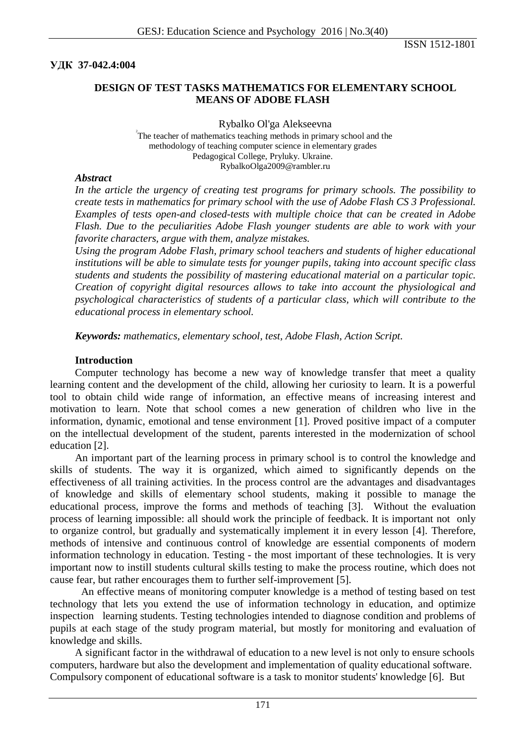**УДК 37-042.4:004**

## **DESIGN OF TEST TASKS MATHEMATICS FOR ELEMENTARY SCHOOL MEANS OF ADOBE FLASH**

Rybalko Ol'ga Alekseevna <sup>2</sup>

The teacher of mathematics teaching methods in primary school and the methodology of teaching computer science in elementary grades Pedagogical College, Pryluky. Ukraine. RybalkoOlga2009@rambler.ru

### *Abstract*

*In the article the urgency of creating test programs for primary schools. The possibility to create tests in mathematics for primary school with the use of Adobe Flash CS 3 Professional. Examples of tests open-and closed-tests with multiple choice that can be created in Adobe Flash. Due to the peculiarities Adobe Flash younger students are able to work with your favorite characters, argue with them, analyze mistakes.*

*Using the program Adobe Flash, primary school teachers and students of higher educational institutions will be able to simulate tests for younger pupils, taking into account specific class students and students the possibility of mastering educational material on a particular topic. Creation of copyright digital resources allows to take into account the physiological and psychological characteristics of students of a particular class, which will contribute to the educational process in elementary school.*

*Keywords: mathematics, elementary school, test, Adobe Flash, Action Script.*

#### **Introduction**

Computer technology has become a new way of knowledge transfer that meet a quality learning content and the development of the child, allowing her curiosity to learn. It is a powerful tool to obtain child wide range of information, an effective means of increasing interest and motivation to learn. Note that school comes a new generation of children who live in the information, dynamic, emotional and tense environment [1]. Proved positive impact of a computer on the intellectual development of the student, parents interested in the modernization of school education [2].

An important part of the learning process in primary school is to control the knowledge and skills of students. The way it is organized, which aimed to significantly depends on the effectiveness of all training activities. In the process control are the advantages and disadvantages of knowledge and skills of elementary school students, making it possible to manage the educational process, improve the forms and methods of teaching [3]. Without the evaluation process of learning impossible: all should work the principle of feedback. It is important not only to organize control, but gradually and systematically implement it in every lesson [4]. Therefore, methods of intensive and continuous control of knowledge are essential components of modern information technology in education. Testing - the most important of these technologies. It is very important now to instill students cultural skills testing to make the process routine, which does not cause fear, but rather encourages them to further self-improvement [5].

An effective means of monitoring computer knowledge is a method of testing based on test technology that lets you extend the use of information technology in education, and optimize inspection learning students. Testing technologies intended to diagnose condition and problems of pupils at each stage of the study program material, but mostly for monitoring and evaluation of knowledge and skills.

A significant factor in the withdrawal of education to a new level is not only to ensure schools computers, hardware but also the development and implementation of quality educational software. Compulsory component of educational software is a task to monitor students' knowledge [6]. But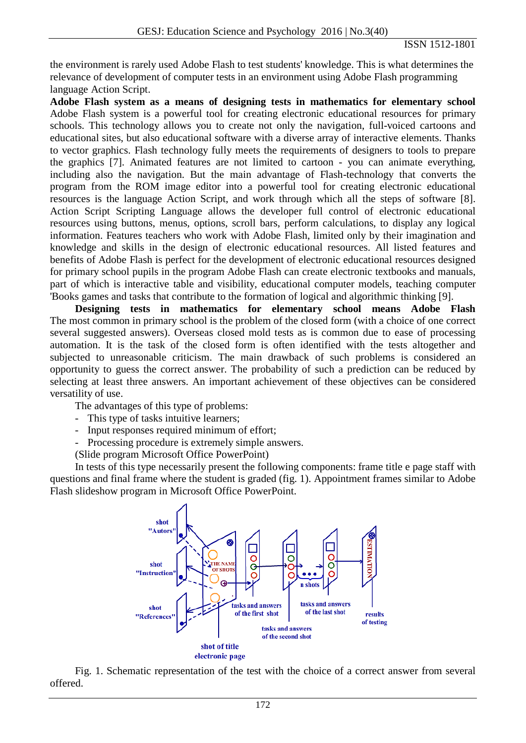the environment is rarely used Adobe Flash to test students' knowledge. This is what determines the relevance of development of computer tests in an environment using Adobe Flash programming language Action Script.

**Adobe Flash system as a means of designing tests in mathematics for elementary school** Adobe Flash system is a powerful tool for creating electronic educational resources for primary schools. This technology allows you to create not only the navigation, full-voiced cartoons and educational sites, but also educational software with a diverse array of interactive elements. Thanks to vector graphics. Flash technology fully meets the requirements of designers to tools to prepare the graphics [7]. Animated features are not limited to cartoon - you can animate everything, including also the navigation. But the main advantage of Flash-technology that converts the program from the ROM image editor into a powerful tool for creating electronic educational resources is the language Action Script, and work through which all the steps of software [8]. Action Script Scripting Language allows the developer full control of electronic educational resources using buttons, menus, options, scroll bars, perform calculations, to display any logical information. Features teachers who work with Adobe Flash, limited only by their imagination and knowledge and skills in the design of electronic educational resources. All listed features and benefits of Adobe Flash is perfect for the development of electronic educational resources designed for primary school pupils in the program Adobe Flash can create electronic textbooks and manuals, part of which is interactive table and visibility, educational computer models, teaching computer 'Books games and tasks that contribute to the formation of logical and algorithmic thinking [9].

**Designing tests in mathematics for elementary school means Adobe Flash** The most common in primary school is the problem of the closed form (with a choice of one correct several suggested answers). Overseas closed mold tests as is common due to ease of processing automation. It is the task of the closed form is often identified with the tests altogether and subjected to unreasonable criticism. The main drawback of such problems is considered an opportunity to guess the correct answer. The probability of such a prediction can be reduced by selecting at least three answers. An important achievement of these objectives can be considered versatility of use.

The advantages of this type of problems:

- This type of tasks intuitive learners;
- Input responses required minimum of effort;
- Processing procedure is extremely simple answers.

(Slide program Microsoft Office PowerPoint)

In tests of this type necessarily present the following components: frame title e page staff with questions and final frame where the student is graded (fig. 1). Appointment frames similar to Adobe Flash slideshow program in Microsoft Office PowerPoint.



Fig. 1. Schematic representation of the test with the choice of a correct answer from several offered.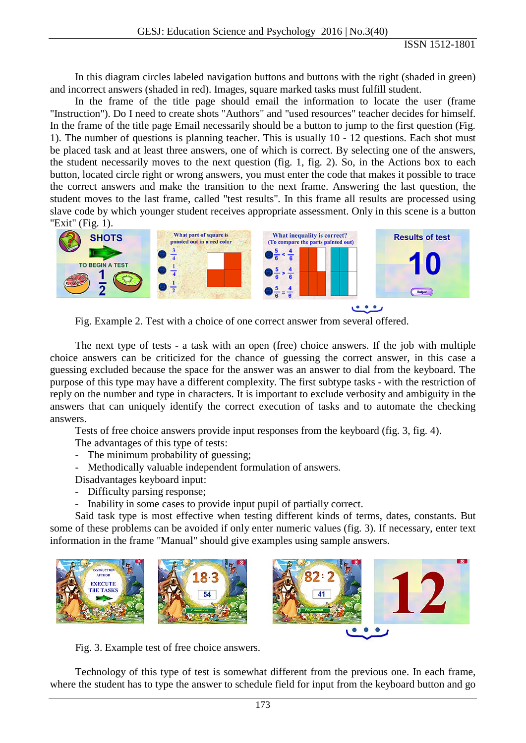ISSN 1512-1801

In this diagram circles labeled navigation buttons and buttons with the right (shaded in green) and incorrect answers (shaded in red). Images, square marked tasks must fulfill student.

In the frame of the title page should email the information to locate the user (frame "Instruction"). Do I need to create shots "Authors" and "used resources" teacher decides for himself. In the frame of the title page Email necessarily should be a button to jump to the first question (Fig. 1). The number of questions is planning teacher. This is usually 10 - 12 questions. Each shot must be placed task and at least three answers, one of which is correct. By selecting one of the answers, the student necessarily moves to the next question (fig. 1, fig. 2). So, in the Actions box to each button, located circle right or wrong answers, you must enter the code that makes it possible to trace the correct answers and make the transition to the next frame. Answering the last question, the student moves to the last frame, called "test results". In this frame all results are processed using slave code by which younger student receives appropriate assessment. Only in this scene is a button "Exit" (Fig. 1).



Fig. Example 2. Test with a choice of one correct answer from several offered.

The next type of tests - a task with an open (free) choice answers. If the job with multiple choice answers can be criticized for the chance of guessing the correct answer, in this case a guessing excluded because the space for the answer was an answer to dial from the keyboard. The purpose of this type may have a different complexity. The first subtype tasks - with the restriction of reply on the number and type in characters. It is important to exclude verbosity and ambiguity in the answers that can uniquely identify the correct execution of tasks and to automate the checking answers.

Tests of free choice answers provide input responses from the keyboard (fig. 3, fig. 4).

The advantages of this type of tests:

- The minimum probability of guessing;
- Methodically valuable independent formulation of answers.
- Disadvantages keyboard input:
- Difficulty parsing response;
- Inability in some cases to provide input pupil of partially correct.

Said task type is most effective when testing different kinds of terms, dates, constants. But some of these problems can be avoided if only enter numeric values (fig. 3). If necessary, enter text information in the frame "Manual" should give examples using sample answers.



Fig. 3. Example test of free choice answers.

Technology of this type of test is somewhat different from the previous one. In each frame, where the student has to type the answer to schedule field for input from the keyboard button and go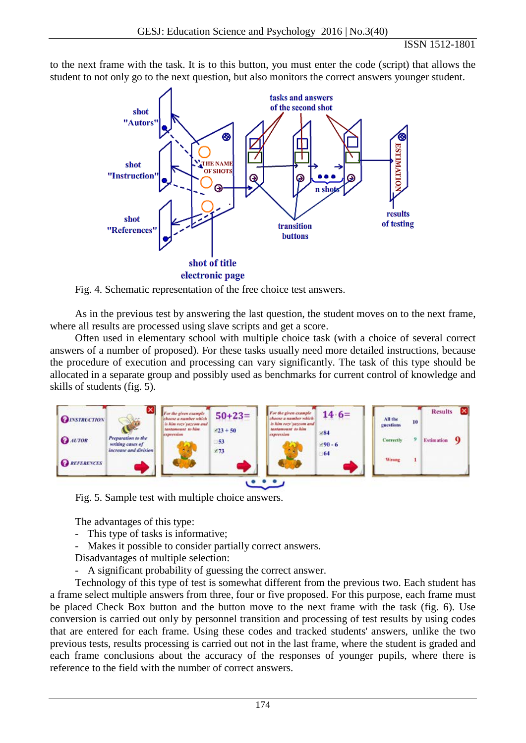to the next frame with the task. It is to this button, you must enter the code (script) that allows the student to not only go to the next question, but also monitors the correct answers younger student.



Fig. 4. Schematic representation of the free choice test answers.

As in the previous test by answering the last question, the student moves on to the next frame, where all results are processed using slave scripts and get a score.

Often used in elementary school with multiple choice task (with a choice of several correct answers of a number of proposed). For these tasks usually need more detailed instructions, because the procedure of execution and processing can vary significantly. The task of this type should be allocated in a separate group and possibly used as benchmarks for current control of knowledge and skills of students (fig. 5).



Fig. 5. Sample test with multiple choice answers.

The advantages of this type:

- This type of tasks is informative;
- Makes it possible to consider partially correct answers.
- Disadvantages of multiple selection:
- A significant probability of guessing the correct answer.

Technology of this type of test is somewhat different from the previous two. Each student has a frame select multiple answers from three, four or five proposed. For this purpose, each frame must be placed Check Box button and the button move to the next frame with the task (fig. 6). Use conversion is carried out only by personnel transition and processing of test results by using codes that are entered for each frame. Using these codes and tracked students' answers, unlike the two previous tests, results processing is carried out not in the last frame, where the student is graded and each frame conclusions about the accuracy of the responses of younger pupils, where there is reference to the field with the number of correct answers.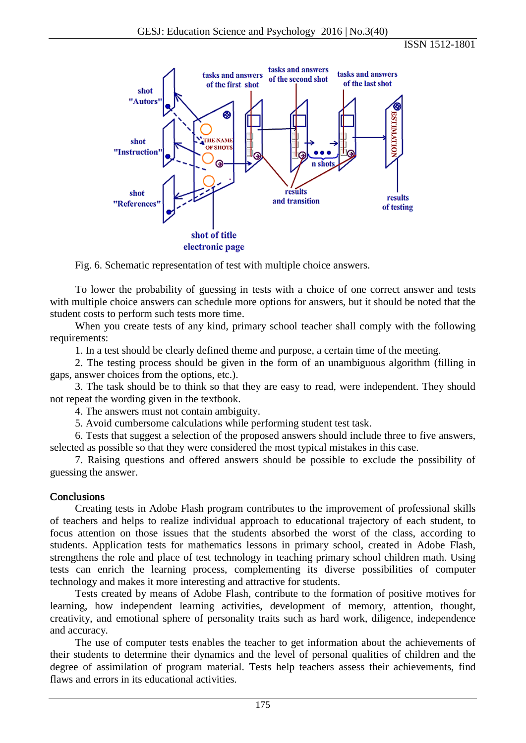ISSN 1512-1801



Fig. 6. Schematic representation of test with multiple choice answers.

To lower the probability of guessing in tests with a choice of one correct answer and tests with multiple choice answers can schedule more options for answers, but it should be noted that the student costs to perform such tests more time.

When you create tests of any kind, primary school teacher shall comply with the following requirements:

1. In a test should be clearly defined theme and purpose, a certain time of the meeting.

2. The testing process should be given in the form of an unambiguous algorithm (filling in gaps, answer choices from the options, etc.).

3. The task should be to think so that they are easy to read, were independent. They should not repeat the wording given in the textbook.

4. The answers must not contain ambiguity.

5. Avoid cumbersome calculations while performing student test task.

6. Tests that suggest a selection of the proposed answers should include three to five answers, selected as possible so that they were considered the most typical mistakes in this case.

7. Raising questions and offered answers should be possible to exclude the possibility of guessing the answer.

## Conclusions

Creating tests in Adobe Flash program contributes to the improvement of professional skills of teachers and helps to realize individual approach to educational trajectory of each student, to focus attention on those issues that the students absorbed the worst of the class, according to students. Application tests for mathematics lessons in primary school, created in Adobe Flash, strengthens the role and place of test technology in teaching primary school children math. Using tests can enrich the learning process, complementing its diverse possibilities of computer technology and makes it more interesting and attractive for students.

Tests created by means of Adobe Flash, contribute to the formation of positive motives for learning, how independent learning activities, development of memory, attention, thought, creativity, and emotional sphere of personality traits such as hard work, diligence, independence and accuracy.

The use of computer tests enables the teacher to get information about the achievements of their students to determine their dynamics and the level of personal qualities of children and the degree of assimilation of program material. Tests help teachers assess their achievements, find flaws and errors in its educational activities.